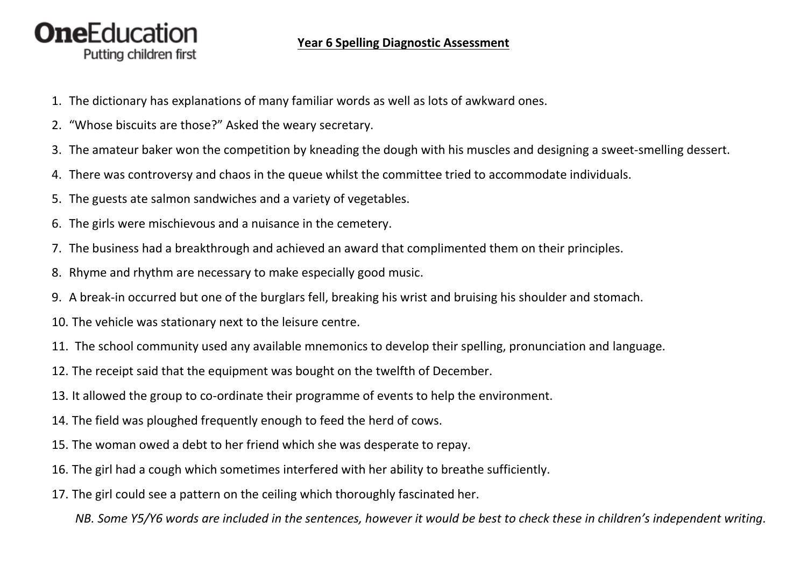## **OneEducation** Putting children first

## **Year 6 Spelling Diagnostic Assessment**

- 1. The dictionary has explanations of many familiar words as well as lots of awkward ones.
- 2. "Whose biscuits are those?" Asked the weary secretary.
- 3. The amateur baker won the competition by kneading the dough with his muscles and designing a sweet-smelling dessert.
- 4. There was controversy and chaos in the queue whilst the committee tried to accommodate individuals.
- 5. The guests ate salmon sandwiches and a variety of vegetables.
- 6. The girls were mischievous and a nuisance in the cemetery.
- 7. The business had a breakthrough and achieved an award that complimented them on their principles.
- 8. Rhyme and rhythm are necessary to make especially good music.
- 9. A break-in occurred but one of the burglars fell, breaking his wrist and bruising his shoulder and stomach.
- 10. The vehicle was stationary next to the leisure centre.
- 11. The school community used any available mnemonics to develop their spelling, pronunciation and language.
- 12. The receipt said that the equipment was bought on the twelfth of December.
- 13. It allowed the group to co-ordinate their programme of events to help the environment.
- 14. The field was ploughed frequently enough to feed the herd of cows.
- 15. The woman owed a debt to her friend which she was desperate to repay.
- 16. The girl had a cough which sometimes interfered with her ability to breathe sufficiently.
- 17. The girl could see a pattern on the ceiling which thoroughly fascinated her.

*NB. Some Y5/Y6 words are included in the sentences, however it would be best to check these in children's independent writing.*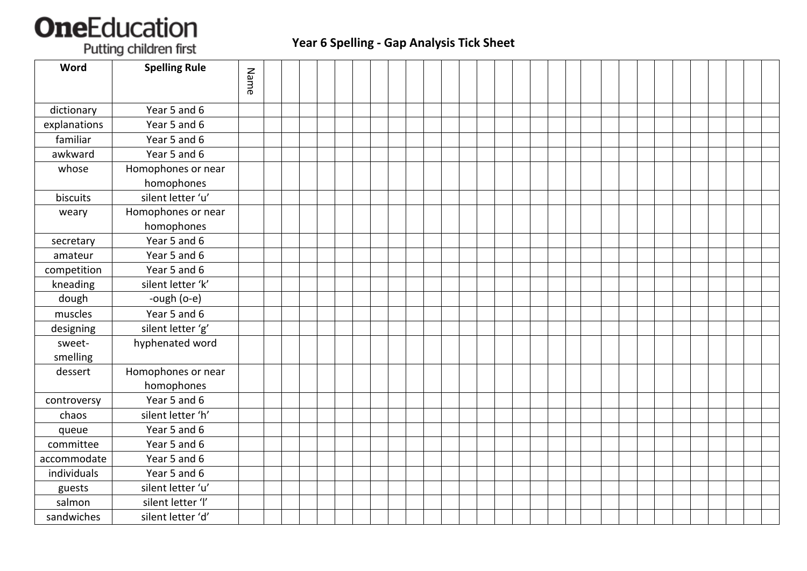## **OneEducation**

Putting children first

## **Year 6 Spelling - Gap Analysis Tick Sheet**

| Word               | <b>Spelling Rule</b>             | Name |  |  |  |  |  |  |  |  |  |  |  |  |  |  |  |
|--------------------|----------------------------------|------|--|--|--|--|--|--|--|--|--|--|--|--|--|--|--|
|                    |                                  |      |  |  |  |  |  |  |  |  |  |  |  |  |  |  |  |
| dictionary         | Year 5 and 6                     |      |  |  |  |  |  |  |  |  |  |  |  |  |  |  |  |
| explanations       | Year 5 and 6                     |      |  |  |  |  |  |  |  |  |  |  |  |  |  |  |  |
| familiar           | Year 5 and 6                     |      |  |  |  |  |  |  |  |  |  |  |  |  |  |  |  |
| awkward            | Year 5 and 6                     |      |  |  |  |  |  |  |  |  |  |  |  |  |  |  |  |
| whose              | Homophones or near               |      |  |  |  |  |  |  |  |  |  |  |  |  |  |  |  |
|                    | homophones                       |      |  |  |  |  |  |  |  |  |  |  |  |  |  |  |  |
| biscuits           | silent letter 'u'                |      |  |  |  |  |  |  |  |  |  |  |  |  |  |  |  |
| weary              | Homophones or near               |      |  |  |  |  |  |  |  |  |  |  |  |  |  |  |  |
|                    | homophones                       |      |  |  |  |  |  |  |  |  |  |  |  |  |  |  |  |
| secretary          | Year 5 and 6                     |      |  |  |  |  |  |  |  |  |  |  |  |  |  |  |  |
| amateur            | Year 5 and 6                     |      |  |  |  |  |  |  |  |  |  |  |  |  |  |  |  |
| competition        | Year 5 and 6                     |      |  |  |  |  |  |  |  |  |  |  |  |  |  |  |  |
| kneading           | silent letter 'k'                |      |  |  |  |  |  |  |  |  |  |  |  |  |  |  |  |
| dough              | -ough (o-e)                      |      |  |  |  |  |  |  |  |  |  |  |  |  |  |  |  |
| muscles            | Year 5 and 6                     |      |  |  |  |  |  |  |  |  |  |  |  |  |  |  |  |
| designing          | silent letter 'g'                |      |  |  |  |  |  |  |  |  |  |  |  |  |  |  |  |
| sweet-<br>smelling | hyphenated word                  |      |  |  |  |  |  |  |  |  |  |  |  |  |  |  |  |
| dessert            | Homophones or near<br>homophones |      |  |  |  |  |  |  |  |  |  |  |  |  |  |  |  |
| controversy        | Year 5 and 6                     |      |  |  |  |  |  |  |  |  |  |  |  |  |  |  |  |
| chaos              | silent letter 'h'                |      |  |  |  |  |  |  |  |  |  |  |  |  |  |  |  |
| queue              | Year 5 and 6                     |      |  |  |  |  |  |  |  |  |  |  |  |  |  |  |  |
| committee          | Year 5 and 6                     |      |  |  |  |  |  |  |  |  |  |  |  |  |  |  |  |
| accommodate        | Year 5 and 6                     |      |  |  |  |  |  |  |  |  |  |  |  |  |  |  |  |
| individuals        | Year 5 and 6                     |      |  |  |  |  |  |  |  |  |  |  |  |  |  |  |  |
| guests             | silent letter 'u'                |      |  |  |  |  |  |  |  |  |  |  |  |  |  |  |  |
| salmon             | silent letter 'l'                |      |  |  |  |  |  |  |  |  |  |  |  |  |  |  |  |
| sandwiches         | silent letter 'd'                |      |  |  |  |  |  |  |  |  |  |  |  |  |  |  |  |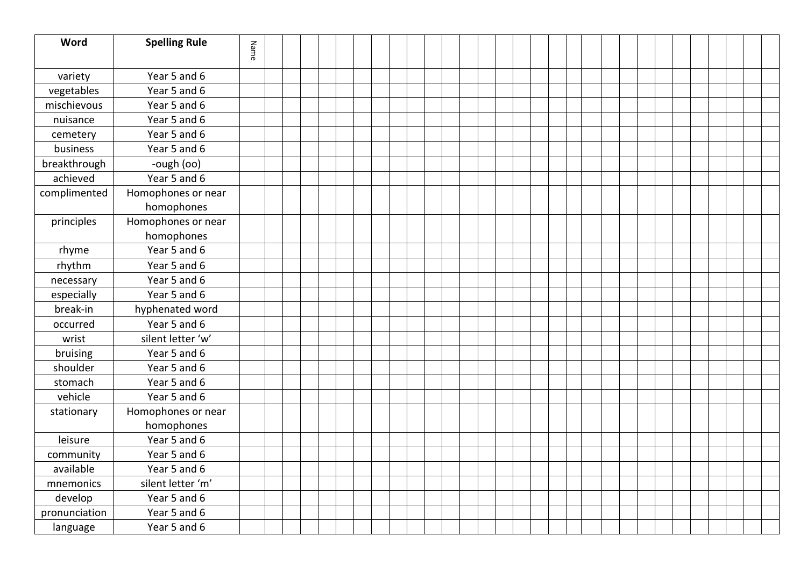| Word          | <b>Spelling Rule</b> | Name |  |  |  |  |  |  |  |  |  |  |  |  |  |  |  |
|---------------|----------------------|------|--|--|--|--|--|--|--|--|--|--|--|--|--|--|--|
|               |                      |      |  |  |  |  |  |  |  |  |  |  |  |  |  |  |  |
| variety       | Year 5 and 6         |      |  |  |  |  |  |  |  |  |  |  |  |  |  |  |  |
| vegetables    | Year 5 and 6         |      |  |  |  |  |  |  |  |  |  |  |  |  |  |  |  |
| mischievous   | Year 5 and 6         |      |  |  |  |  |  |  |  |  |  |  |  |  |  |  |  |
| nuisance      | Year 5 and 6         |      |  |  |  |  |  |  |  |  |  |  |  |  |  |  |  |
| cemetery      | Year 5 and 6         |      |  |  |  |  |  |  |  |  |  |  |  |  |  |  |  |
| business      | Year 5 and 6         |      |  |  |  |  |  |  |  |  |  |  |  |  |  |  |  |
| breakthrough  | -ough (oo)           |      |  |  |  |  |  |  |  |  |  |  |  |  |  |  |  |
| achieved      | Year 5 and 6         |      |  |  |  |  |  |  |  |  |  |  |  |  |  |  |  |
| complimented  | Homophones or near   |      |  |  |  |  |  |  |  |  |  |  |  |  |  |  |  |
|               | homophones           |      |  |  |  |  |  |  |  |  |  |  |  |  |  |  |  |
| principles    | Homophones or near   |      |  |  |  |  |  |  |  |  |  |  |  |  |  |  |  |
|               | homophones           |      |  |  |  |  |  |  |  |  |  |  |  |  |  |  |  |
| rhyme         | Year 5 and 6         |      |  |  |  |  |  |  |  |  |  |  |  |  |  |  |  |
| rhythm        | Year 5 and 6         |      |  |  |  |  |  |  |  |  |  |  |  |  |  |  |  |
| necessary     | Year 5 and 6         |      |  |  |  |  |  |  |  |  |  |  |  |  |  |  |  |
| especially    | Year 5 and 6         |      |  |  |  |  |  |  |  |  |  |  |  |  |  |  |  |
| break-in      | hyphenated word      |      |  |  |  |  |  |  |  |  |  |  |  |  |  |  |  |
| occurred      | Year 5 and 6         |      |  |  |  |  |  |  |  |  |  |  |  |  |  |  |  |
| wrist         | silent letter 'w'    |      |  |  |  |  |  |  |  |  |  |  |  |  |  |  |  |
| bruising      | Year 5 and 6         |      |  |  |  |  |  |  |  |  |  |  |  |  |  |  |  |
| shoulder      | Year 5 and 6         |      |  |  |  |  |  |  |  |  |  |  |  |  |  |  |  |
| stomach       | Year 5 and 6         |      |  |  |  |  |  |  |  |  |  |  |  |  |  |  |  |
| vehicle       | Year 5 and 6         |      |  |  |  |  |  |  |  |  |  |  |  |  |  |  |  |
| stationary    | Homophones or near   |      |  |  |  |  |  |  |  |  |  |  |  |  |  |  |  |
|               | homophones           |      |  |  |  |  |  |  |  |  |  |  |  |  |  |  |  |
| leisure       | Year 5 and 6         |      |  |  |  |  |  |  |  |  |  |  |  |  |  |  |  |
| community     | Year 5 and 6         |      |  |  |  |  |  |  |  |  |  |  |  |  |  |  |  |
| available     | Year 5 and 6         |      |  |  |  |  |  |  |  |  |  |  |  |  |  |  |  |
| mnemonics     | silent letter 'm'    |      |  |  |  |  |  |  |  |  |  |  |  |  |  |  |  |
| develop       | Year 5 and 6         |      |  |  |  |  |  |  |  |  |  |  |  |  |  |  |  |
| pronunciation | Year 5 and 6         |      |  |  |  |  |  |  |  |  |  |  |  |  |  |  |  |
| language      | Year 5 and 6         |      |  |  |  |  |  |  |  |  |  |  |  |  |  |  |  |